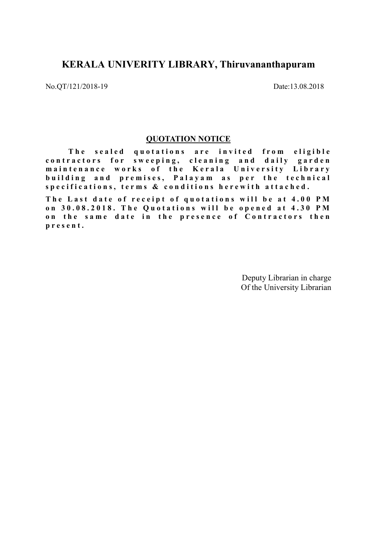# KERALA UNIVERITY LIBRARY, Thiruvananthapuram

No.QT/121/2018-19 Date:13.08.2018

### QUOTATION NOTICE

The sealed quotations are invited from eligible contractors for sweeping, cleaning and daily garden maintenance works of the Kerala University Library building and premises, Palayam as per the technical specifications, terms & conditions herewith attached.

The Last date of receipt of quotations will be at 4.00 PM on 30.08.2018. The Quotations will be opened at 4.30 PM on the same date in the presence of Contractors then p r e s e n t .

> Deputy Librarian in charge Of the University Librarian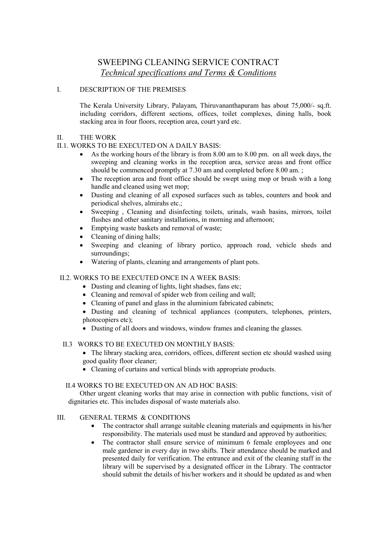## SWEEPING CLEANING SERVICE CONTRACT Technical specifications and Terms & Conditions

#### I. DESCRIPTION OF THE PREMISES

The Kerala University Library, Palayam, Thiruvananthapuram has about 75,000/- sq.ft. including corridors, different sections, offices, toilet complexes, dining halls, book stacking area in four floors, reception area, court yard etc.

#### II. THE WORK

#### II.1. WORKS TO BE EXECUTED ON A DAILY BASIS:

- As the working hours of the library is from 8.00 am to 8.00 pm. on all week days, the sweeping and cleaning works in the reception area, service areas and front office should be commenced promptly at 7.30 am and completed before 8.00 am. ;
- The reception area and front office should be swept using mop or brush with a long handle and cleaned using wet mop;
- Dusting and cleaning of all exposed surfaces such as tables, counters and book and periodical shelves, almirahs etc.;
- Sweeping , Cleaning and disinfecting toilets, urinals, wash basins, mirrors, toilet flushes and other sanitary installations, in morning and afternoon;
- Emptying waste baskets and removal of waste;
- Cleaning of dining halls;
- Sweeping and cleaning of library portico, approach road, vehicle sheds and surroundings;
- Watering of plants, cleaning and arrangements of plant pots.

#### II.2. WORKS TO BE EXECUTED ONCE IN A WEEK BASIS:

- Dusting and cleaning of lights, light shadses, fans etc;
- Cleaning and removal of spider web from ceiling and wall;
- Cleaning of panel and glass in the aluminium fabricated cabinets;
- Dusting and cleaning of technical appliances (computers, telephones, printers, photocopiers etc);
- Dusting of all doors and windows, window frames and cleaning the glasses.

#### II.3 WORKS TO BE EXECUTED ON MONTHLY BASIS:

- The library stacking area, corridors, offices, different section etc should washed using good quality floor cleaner;
- Cleaning of curtains and vertical blinds with appropriate products.

#### II.4 WORKS TO BE EXECUTED ON AN AD HOC BASIS:

Other urgent cleaning works that may arise in connection with public functions, visit of dignitaries etc. This includes disposal of waste materials also.

## III. GENERAL TERMS & CONDITIONS

- The contractor shall arrange suitable cleaning materials and equipments in his/her responsibility. The materials used must be standard and approved by authorities;
- The contractor shall ensure service of minimum 6 female employees and one male gardener in every day in two shifts. Their attendance should be marked and presented daily for verification. The entrance and exit of the cleaning staff in the library will be supervised by a designated officer in the Library. The contractor should submit the details of his/her workers and it should be updated as and when